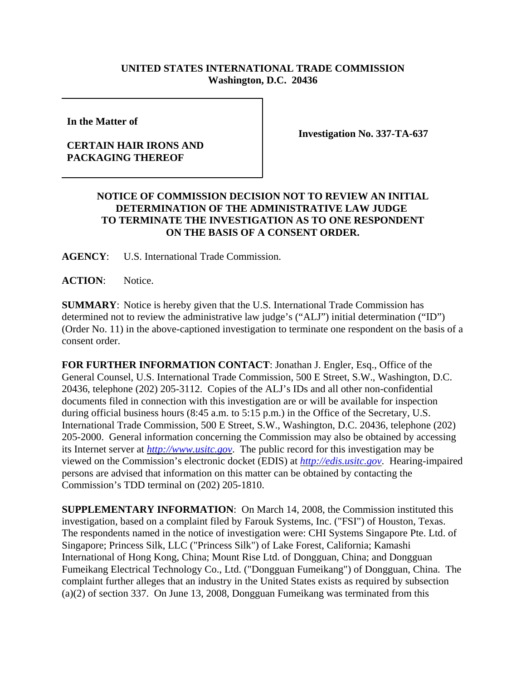## **UNITED STATES INTERNATIONAL TRADE COMMISSION Washington, D.C. 20436**

**In the Matter of** 

## **CERTAIN HAIR IRONS AND PACKAGING THEREOF**

**Investigation No. 337-TA-637**

## **NOTICE OF COMMISSION DECISION NOT TO REVIEW AN INITIAL DETERMINATION OF THE ADMINISTRATIVE LAW JUDGE TO TERMINATE THE INVESTIGATION AS TO ONE RESPONDENT ON THE BASIS OF A CONSENT ORDER.**

**AGENCY**: U.S. International Trade Commission.

**ACTION**: Notice.

**SUMMARY**: Notice is hereby given that the U.S. International Trade Commission has determined not to review the administrative law judge's ("ALJ") initial determination ("ID") (Order No. 11) in the above-captioned investigation to terminate one respondent on the basis of a consent order.

**FOR FURTHER INFORMATION CONTACT**: Jonathan J. Engler, Esq., Office of the General Counsel, U.S. International Trade Commission, 500 E Street, S.W., Washington, D.C. 20436, telephone (202) 205-3112. Copies of the ALJ's IDs and all other non-confidential documents filed in connection with this investigation are or will be available for inspection during official business hours (8:45 a.m. to 5:15 p.m.) in the Office of the Secretary, U.S. International Trade Commission, 500 E Street, S.W., Washington, D.C. 20436, telephone (202) 205-2000. General information concerning the Commission may also be obtained by accessing its Internet server at *http://www.usitc.gov*. The public record for this investigation may be viewed on the Commission's electronic docket (EDIS) at *http://edis.usitc.gov*. Hearing-impaired persons are advised that information on this matter can be obtained by contacting the Commission's TDD terminal on (202) 205-1810.

**SUPPLEMENTARY INFORMATION**: On March 14, 2008, the Commission instituted this investigation, based on a complaint filed by Farouk Systems, Inc. ("FSI") of Houston, Texas. The respondents named in the notice of investigation were: CHI Systems Singapore Pte. Ltd. of Singapore; Princess Silk, LLC ("Princess Silk") of Lake Forest, California; Kamashi International of Hong Kong, China; Mount Rise Ltd. of Dongguan, China; and Dongguan Fumeikang Electrical Technology Co., Ltd. ("Dongguan Fumeikang") of Dongguan, China. The complaint further alleges that an industry in the United States exists as required by subsection (a)(2) of section 337. On June 13, 2008, Dongguan Fumeikang was terminated from this